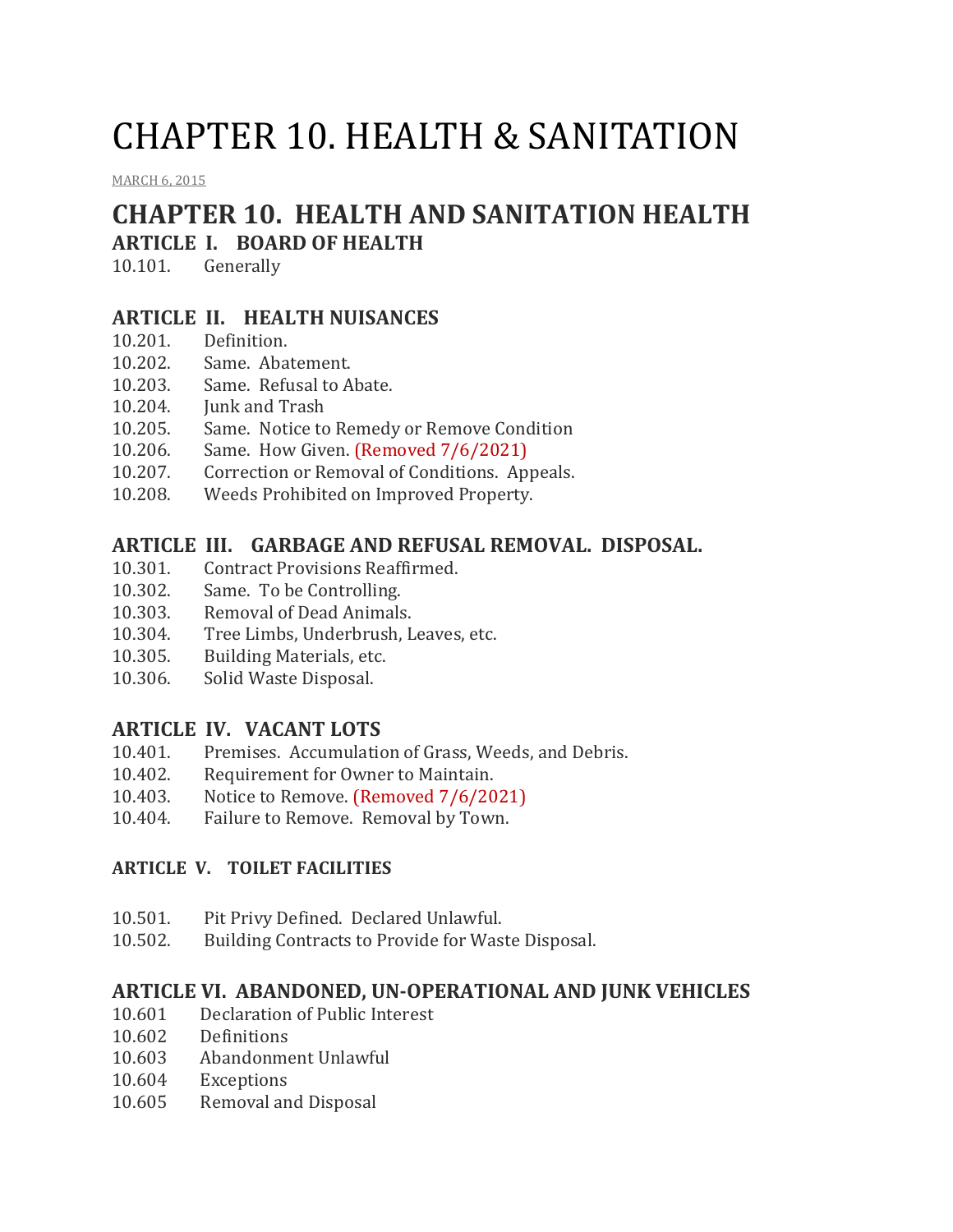# CHAPTER 10. HEALTH & SANITATION

[MARCH](http://townofcampobello.us/chapter-10-health-sanitation/) 6, 2015

## **CHAPTER 10. HEALTH AND SANITATION HEALTH**

## **ARTICLE I. BOARD OF HEALTH**

10.101. Generally

#### **ARTICLE II. HEALTH NUISANCES**

- 10.201. Definition.
- 10.202. Same. Abatement.
- 10.203. Same. Refusal to Abate.
- 10.204. Junk and Trash
- 10.205. Same. Notice to Remedy or Remove Condition
- 10.206. Same. How Given. (Removed 7/6/2021)
- 10.207. Correction or Removal of Conditions. Appeals.
- 10.208. Weeds Prohibited on Improved Property.

## **ARTICLE III. GARBAGE AND REFUSAL REMOVAL. DISPOSAL.**

- 10.301. Contract Provisions Reaffirmed.
- 10.302. Same. To be Controlling.
- 10.303. Removal of Dead Animals.
- 10.304. Tree Limbs, Underbrush, Leaves, etc.
- 10.305. Building Materials, etc.
- 10.306. Solid Waste Disposal.

## **ARTICLE IV. VACANT LOTS**

- 10.401. Premises. Accumulation of Grass, Weeds, and Debris.
- 10.402. Requirement for Owner to Maintain.
- 10.403. Notice to Remove. (Removed 7/6/2021)
- 10.404. Failure to Remove. Removal by Town.

#### **ARTICLE V. TOILET FACILITIES**

- 10.501. Pit Privy Defined. Declared Unlawful.
- 10.502. Building Contracts to Provide for Waste Disposal.

#### **ARTICLE VI. ABANDONED, UN-OPERATIONAL AND JUNK VEHICLES**

- 10.601 Declaration of Public Interest
- 10.602 Definitions
- 10.603 Abandonment Unlawful
- 10.604 Exceptions
- 10.605 Removal and Disposal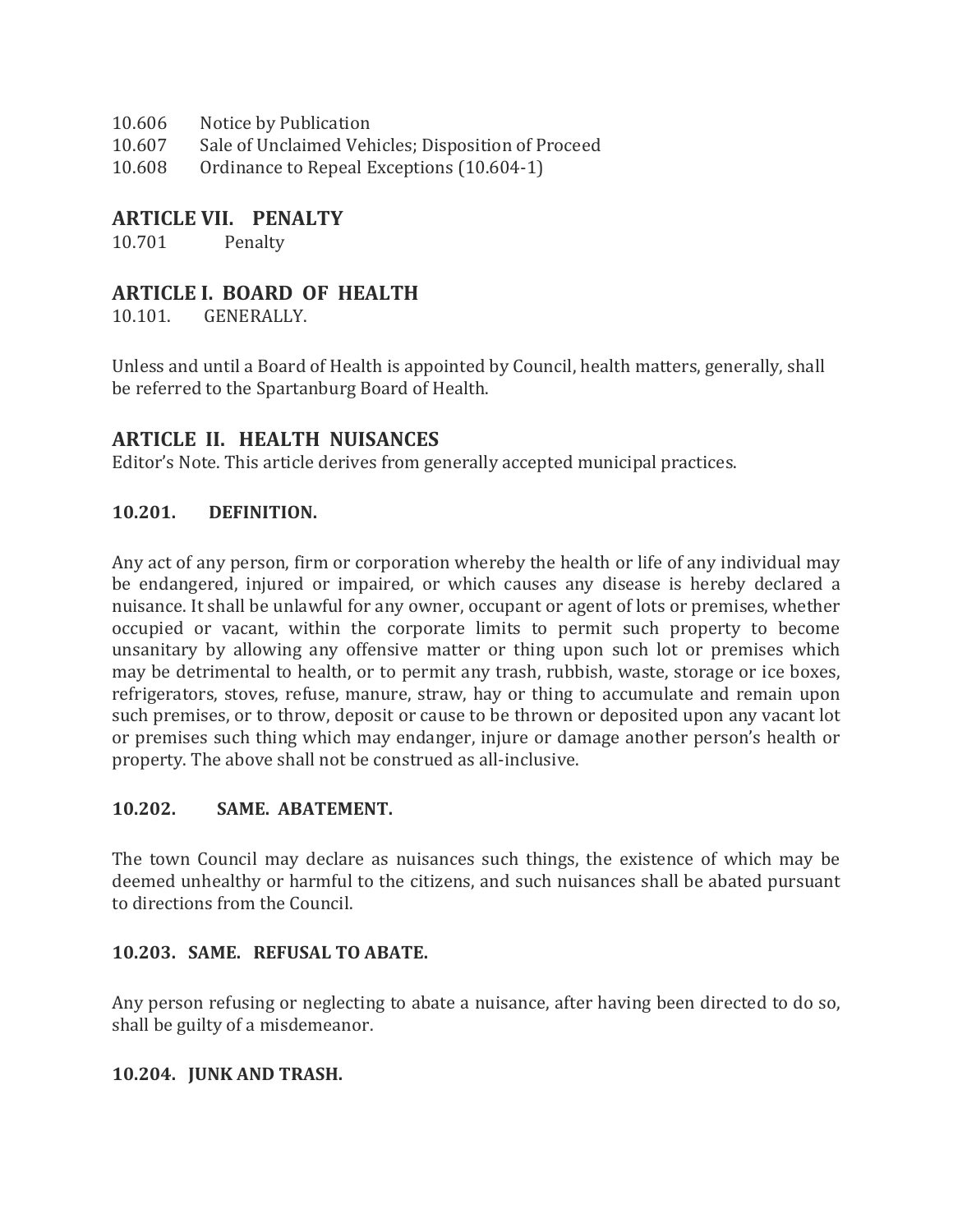- 10.606 Notice by Publication
- 10.607 Sale of Unclaimed Vehicles; Disposition of Proceed
- 10.608 Ordinance to Repeal Exceptions (10.604-1)

#### **ARTICLE VII. PENALTY**

10.701 Penalty

### **ARTICLE I. BOARD OF HEALTH**

10.101. GENERALLY.

Unless and until a Board of Health is appointed by Council, health matters, generally, shall be referred to the Spartanburg Board of Health.

## **ARTICLE II. HEALTH NUISANCES**

Editor's Note. This article derives from generally accepted municipal practices.

#### **10.201. DEFINITION.**

Any act of any person, firm or corporation whereby the health or life of any individual may be endangered, injured or impaired, or which causes any disease is hereby declared a nuisance. It shall be unlawful for any owner, occupant or agent of lots or premises, whether occupied or vacant, within the corporate limits to permit such property to become unsanitary by allowing any offensive matter or thing upon such lot or premises which may be detrimental to health, or to permit any trash, rubbish, waste, storage or ice boxes, refrigerators, stoves, refuse, manure, straw, hay or thing to accumulate and remain upon such premises, or to throw, deposit or cause to be thrown or deposited upon any vacant lot or premises such thing which may endanger, injure or damage another person's health or property. The above shall not be construed as all-inclusive.

#### **10.202. SAME. ABATEMENT.**

The town Council may declare as nuisances such things, the existence of which may be deemed unhealthy or harmful to the citizens, and such nuisances shall be abated pursuant to directions from the Council.

#### **10.203. SAME. REFUSAL TO ABATE.**

Any person refusing or neglecting to abate a nuisance, after having been directed to do so, shall be guilty of a misdemeanor.

#### **10.204. JUNK AND TRASH.**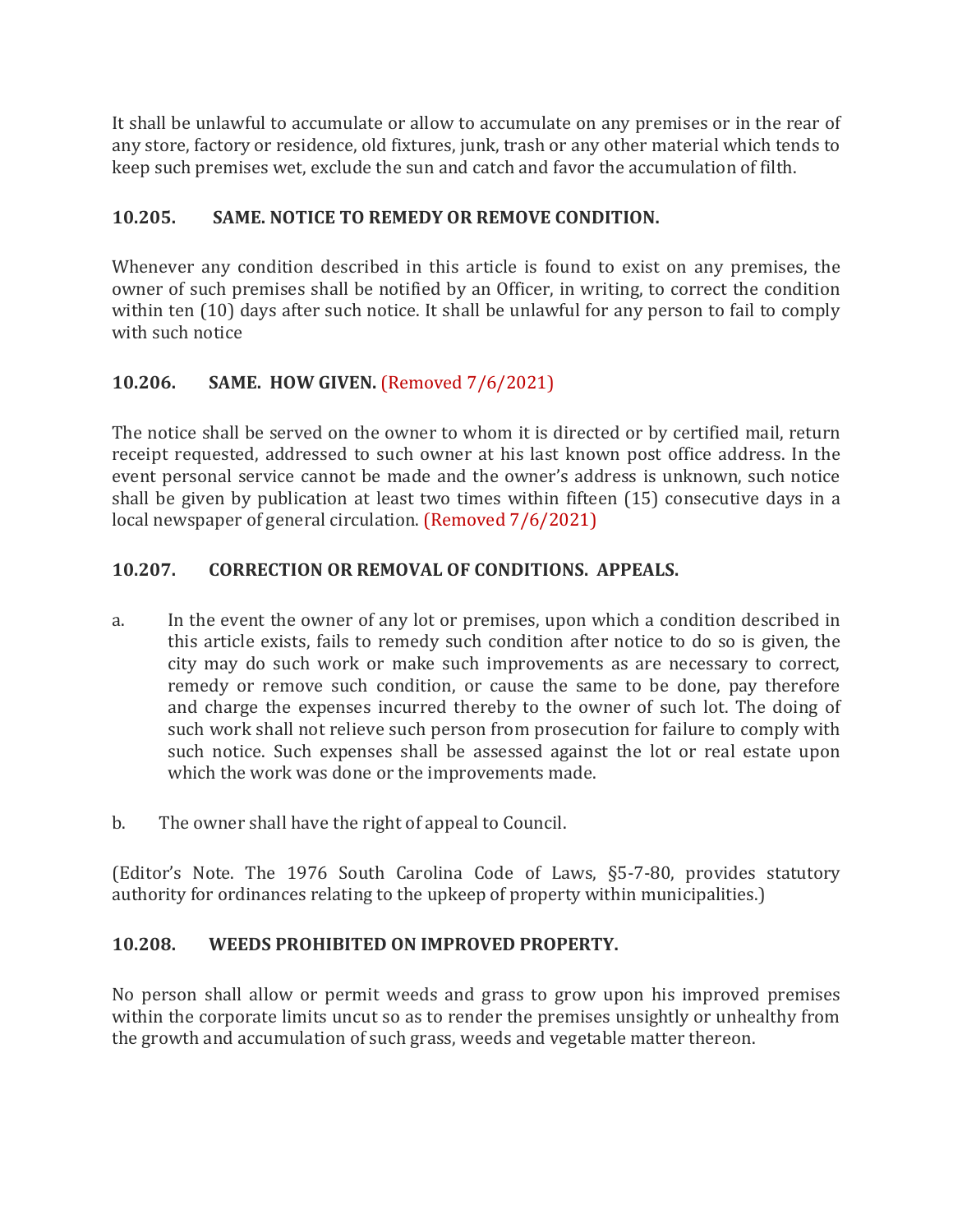It shall be unlawful to accumulate or allow to accumulate on any premises or in the rear of any store, factory or residence, old fixtures, junk, trash or any other material which tends to keep such premises wet, exclude the sun and catch and favor the accumulation of filth.

## **10.205. SAME. NOTICE TO REMEDY OR REMOVE CONDITION.**

Whenever any condition described in this article is found to exist on any premises, the owner of such premises shall be notified by an Officer, in writing, to correct the condition within ten (10) days after such notice. It shall be unlawful for any person to fail to comply with such notice

## **10.206. SAME. HOW GIVEN.** (Removed 7/6/2021)

The notice shall be served on the owner to whom it is directed or by certified mail, return receipt requested, addressed to such owner at his last known post office address. In the event personal service cannot be made and the owner's address is unknown, such notice shall be given by publication at least two times within fifteen (15) consecutive days in a local newspaper of general circulation. (Removed 7/6/2021)

#### **10.207. CORRECTION OR REMOVAL OF CONDITIONS. APPEALS.**

- a. In the event the owner of any lot or premises, upon which a condition described in this article exists, fails to remedy such condition after notice to do so is given, the city may do such work or make such improvements as are necessary to correct, remedy or remove such condition, or cause the same to be done, pay therefore and charge the expenses incurred thereby to the owner of such lot. The doing of such work shall not relieve such person from prosecution for failure to comply with such notice. Such expenses shall be assessed against the lot or real estate upon which the work was done or the improvements made.
- b. The owner shall have the right of appeal to Council.

(Editor's Note. The 1976 South Carolina Code of Laws, §5-7-80, provides statutory authority for ordinances relating to the upkeep of property within municipalities.)

#### **10.208. WEEDS PROHIBITED ON IMPROVED PROPERTY.**

No person shall allow or permit weeds and grass to grow upon his improved premises within the corporate limits uncut so as to render the premises unsightly or unhealthy from the growth and accumulation of such grass, weeds and vegetable matter thereon.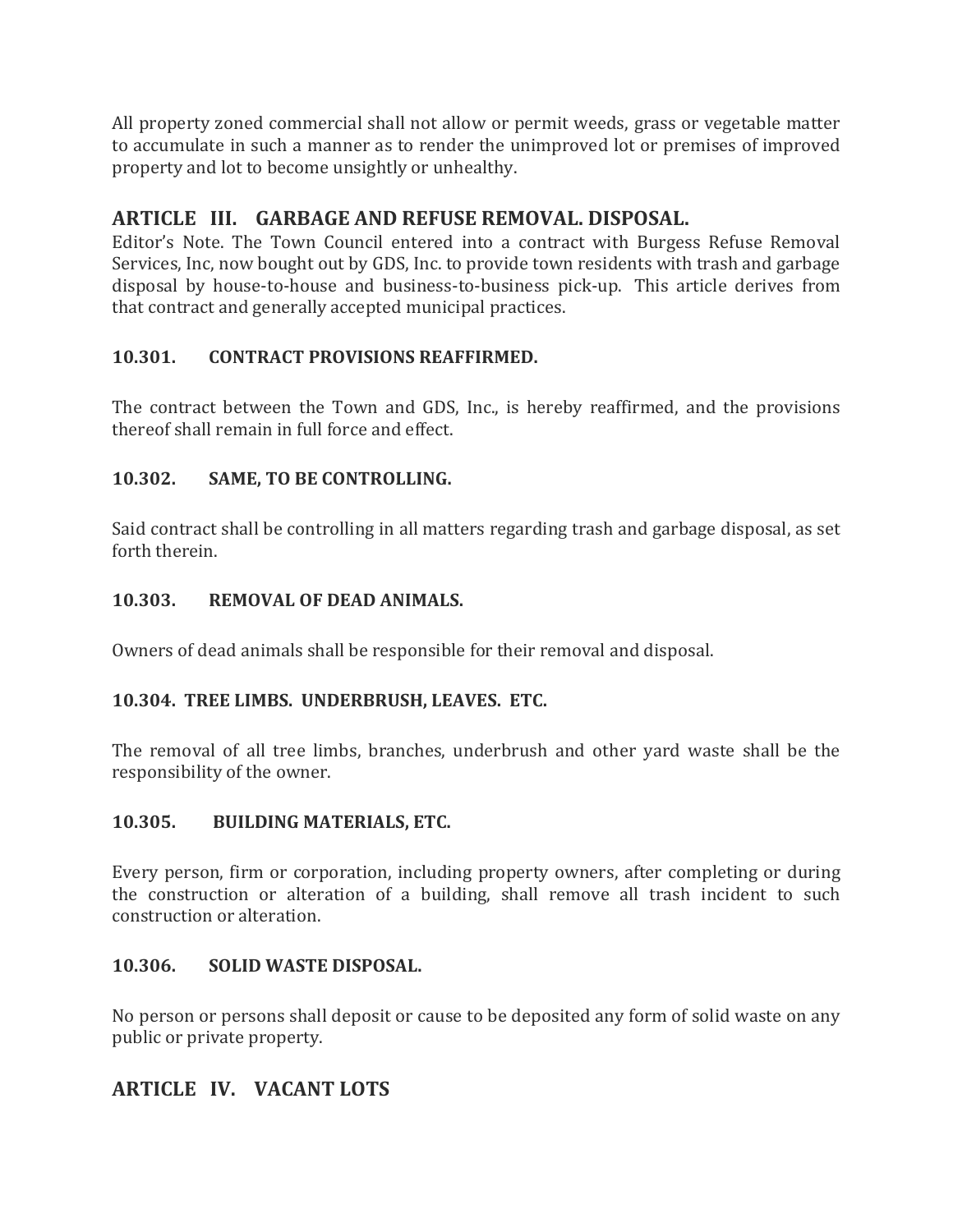All property zoned commercial shall not allow or permit weeds, grass or vegetable matter to accumulate in such a manner as to render the unimproved lot or premises of improved property and lot to become unsightly or unhealthy.

## **ARTICLE III. GARBAGE AND REFUSE REMOVAL. DISPOSAL.**

Editor's Note. The Town Council entered into a contract with Burgess Refuse Removal Services, Inc, now bought out by GDS, Inc. to provide town residents with trash and garbage disposal by house-to-house and business-to-business pick-up. This article derives from that contract and generally accepted municipal practices.

#### **10.301. CONTRACT PROVISIONS REAFFIRMED.**

The contract between the Town and GDS, Inc., is hereby reaffirmed, and the provisions thereof shall remain in full force and effect.

#### **10.302. SAME, TO BE CONTROLLING.**

Said contract shall be controlling in all matters regarding trash and garbage disposal, as set forth therein.

#### **10.303. REMOVAL OF DEAD ANIMALS.**

Owners of dead animals shall be responsible for their removal and disposal.

#### **10.304. TREE LIMBS. UNDERBRUSH, LEAVES. ETC.**

The removal of all tree limbs, branches, underbrush and other yard waste shall be the responsibility of the owner.

#### **10.305. BUILDING MATERIALS, ETC.**

Every person, firm or corporation, including property owners, after completing or during the construction or alteration of a building, shall remove all trash incident to such construction or alteration.

#### **10.306. SOLID WASTE DISPOSAL.**

No person or persons shall deposit or cause to be deposited any form of solid waste on any public or private property.

## **ARTICLE IV. VACANT LOTS**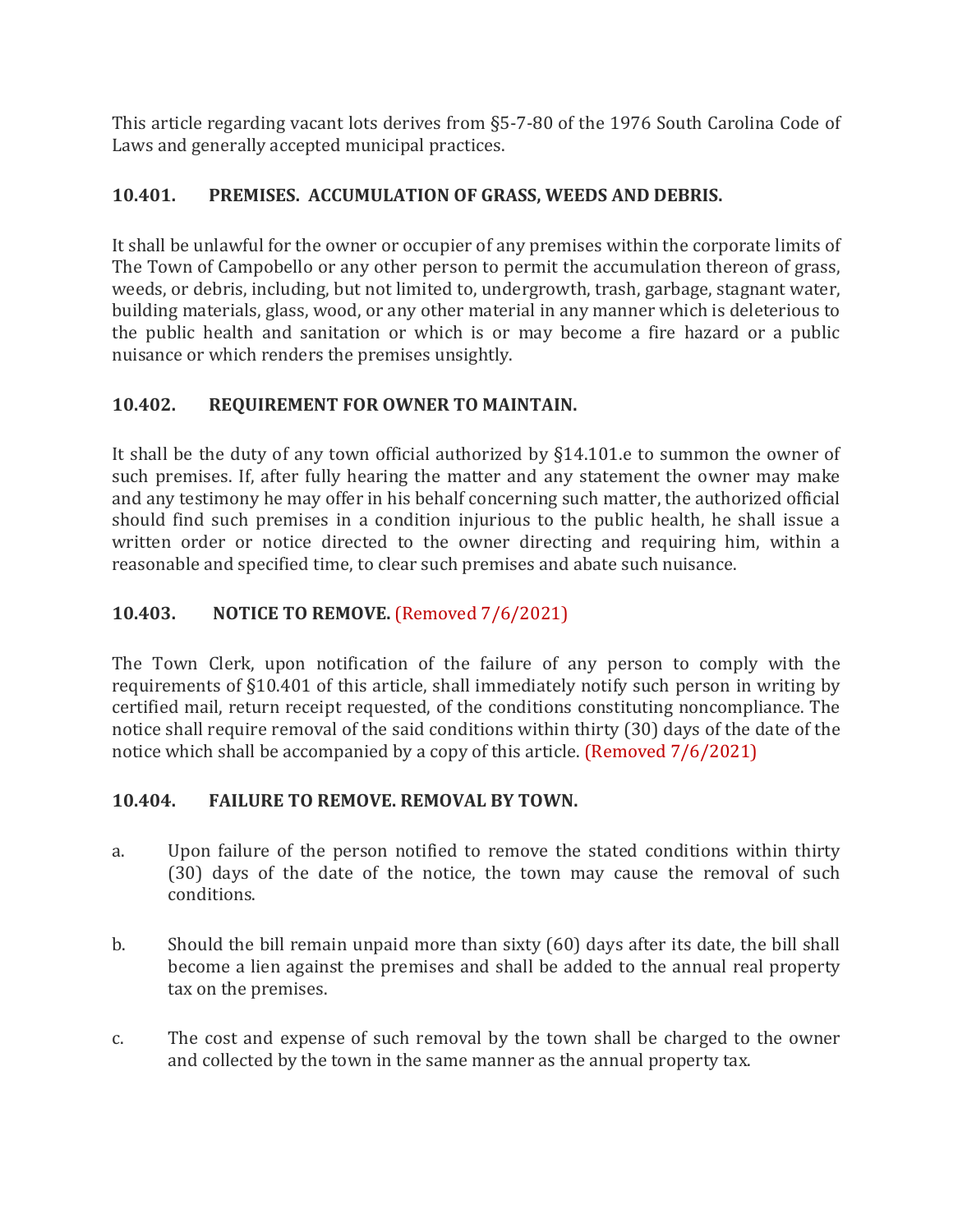This article regarding vacant lots derives from §5-7-80 of the 1976 South Carolina Code of Laws and generally accepted municipal practices.

## **10.401. PREMISES. ACCUMULATION OF GRASS, WEEDS AND DEBRIS.**

It shall be unlawful for the owner or occupier of any premises within the corporate limits of The Town of Campobello or any other person to permit the accumulation thereon of grass, weeds, or debris, including, but not limited to, undergrowth, trash, garbage, stagnant water, building materials, glass, wood, or any other material in any manner which is deleterious to the public health and sanitation or which is or may become a fire hazard or a public nuisance or which renders the premises unsightly.

## **10.402. REQUIREMENT FOR OWNER TO MAINTAIN.**

It shall be the duty of any town official authorized by §14.101.e to summon the owner of such premises. If, after fully hearing the matter and any statement the owner may make and any testimony he may offer in his behalf concerning such matter, the authorized official should find such premises in a condition injurious to the public health, he shall issue a written order or notice directed to the owner directing and requiring him, within a reasonable and specified time, to clear such premises and abate such nuisance.

## **10.403. NOTICE TO REMOVE.** (Removed 7/6/2021)

The Town Clerk, upon notification of the failure of any person to comply with the requirements of §10.401 of this article, shall immediately notify such person in writing by certified mail, return receipt requested, of the conditions constituting noncompliance. The notice shall require removal of the said conditions within thirty (30) days of the date of the notice which shall be accompanied by a copy of this article. (Removed 7/6/2021)

#### **10.404. FAILURE TO REMOVE. REMOVAL BY TOWN.**

- a. Upon failure of the person notified to remove the stated conditions within thirty (30) days of the date of the notice, the town may cause the removal of such conditions.
- b. Should the bill remain unpaid more than sixty (60) days after its date, the bill shall become a lien against the premises and shall be added to the annual real property tax on the premises.
- c. The cost and expense of such removal by the town shall be charged to the owner and collected by the town in the same manner as the annual property tax.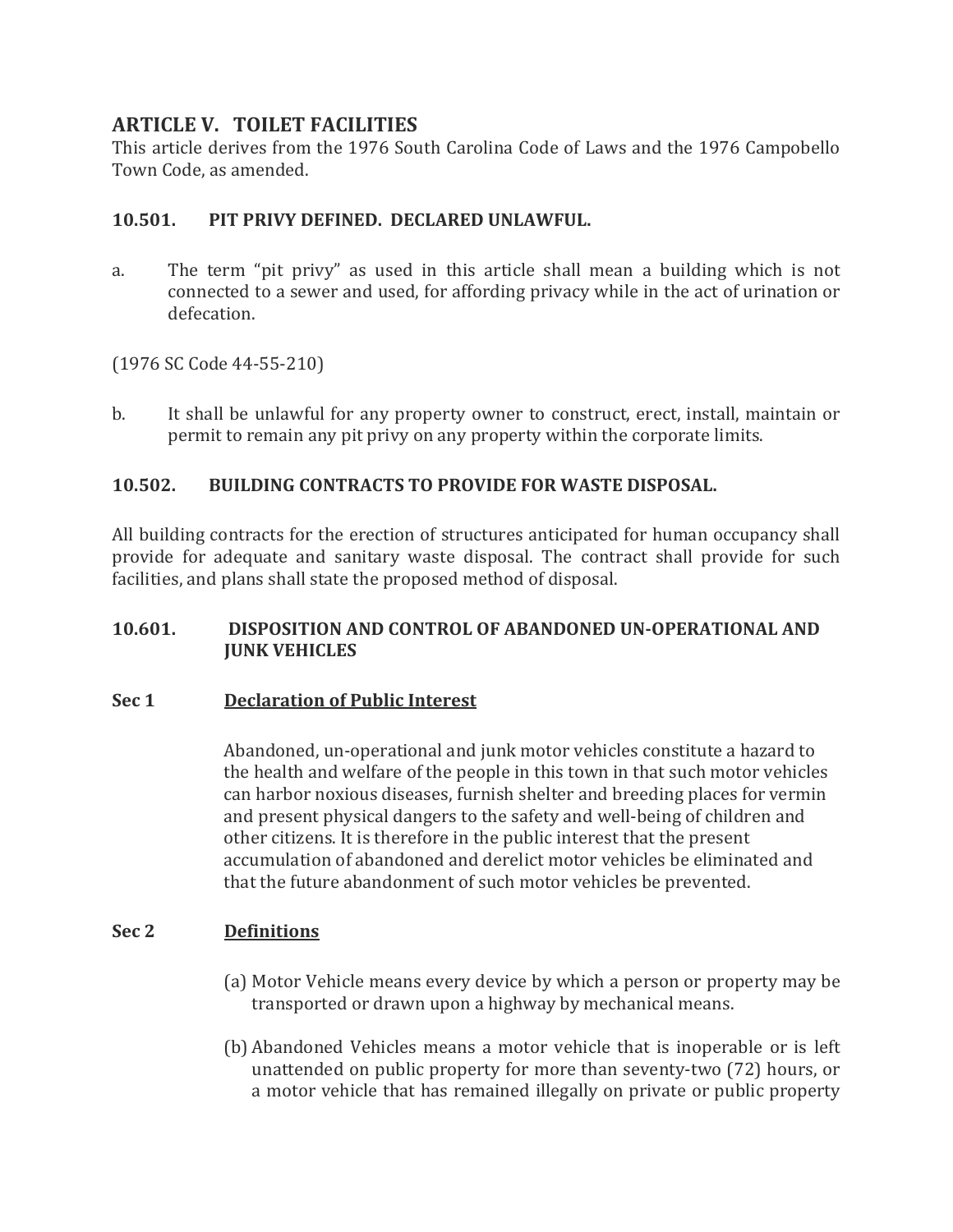### **ARTICLE V. TOILET FACILITIES**

This article derives from the 1976 South Carolina Code of Laws and the 1976 Campobello Town Code, as amended.

#### **10.501. PIT PRIVY DEFINED. DECLARED UNLAWFUL.**

a. The term "pit privy" as used in this article shall mean a building which is not connected to a sewer and used, for affording privacy while in the act of urination or defecation.

(1976 SC Code 44-55-210)

b. It shall be unlawful for any property owner to construct, erect, install, maintain or permit to remain any pit privy on any property within the corporate limits.

#### **10.502. BUILDING CONTRACTS TO PROVIDE FOR WASTE DISPOSAL.**

All building contracts for the erection of structures anticipated for human occupancy shall provide for adequate and sanitary waste disposal. The contract shall provide for such facilities, and plans shall state the proposed method of disposal.

#### **10.601. DISPOSITION AND CONTROL OF ABANDONED UN-OPERATIONAL AND JUNK VEHICLES**

#### **Sec 1 Declaration of Public Interest**

Abandoned, un-operational and junk motor vehicles constitute a hazard to the health and welfare of the people in this town in that such motor vehicles can harbor noxious diseases, furnish shelter and breeding places for vermin and present physical dangers to the safety and well-being of children and other citizens. It is therefore in the public interest that the present accumulation of abandoned and derelict motor vehicles be eliminated and that the future abandonment of such motor vehicles be prevented.

#### **Sec 2 Definitions**

- (a) Motor Vehicle means every device by which a person or property may be transported or drawn upon a highway by mechanical means.
- (b) Abandoned Vehicles means a motor vehicle that is inoperable or is left unattended on public property for more than seventy-two (72) hours, or a motor vehicle that has remained illegally on private or public property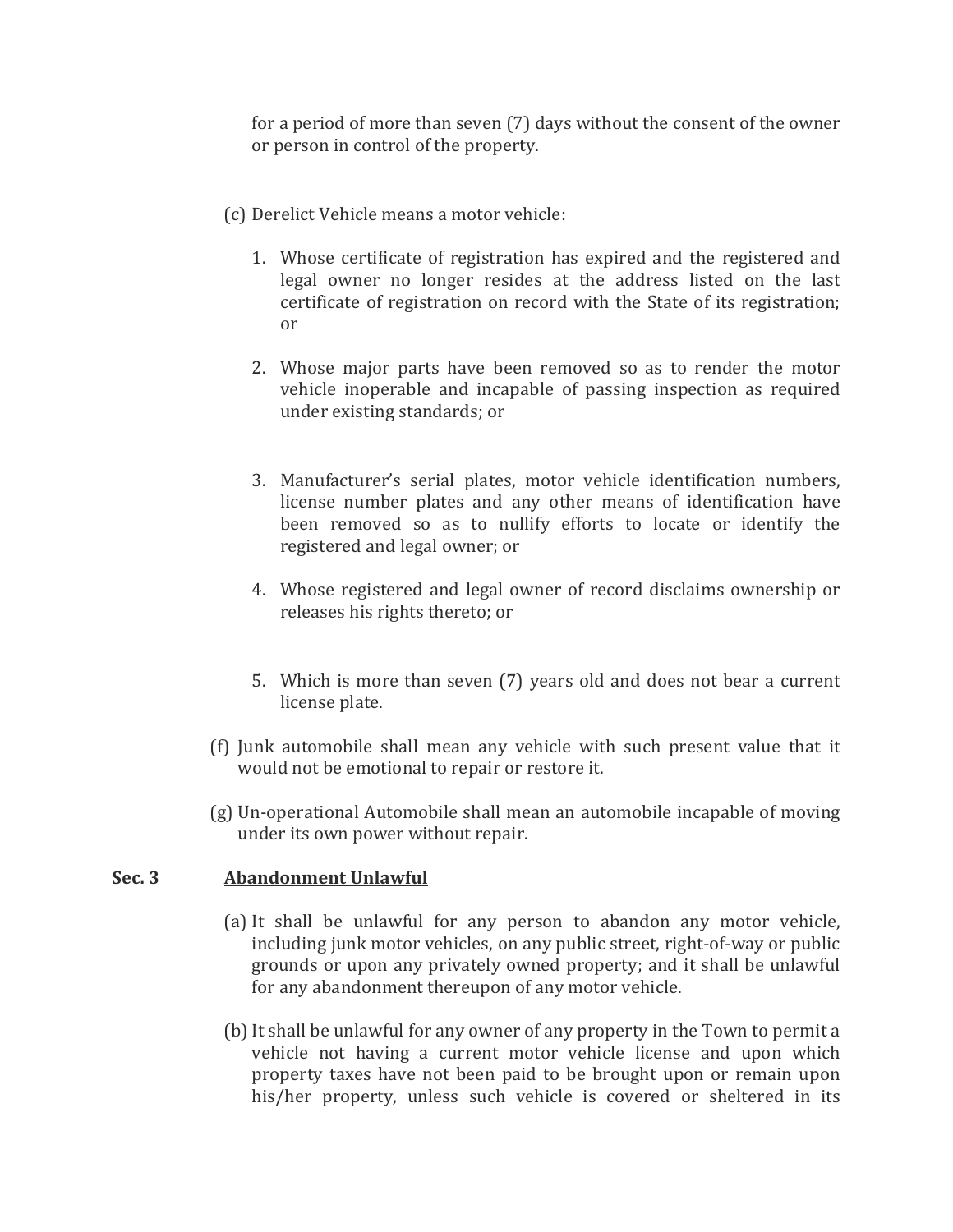for a period of more than seven (7) days without the consent of the owner or person in control of the property.

- (c) Derelict Vehicle means a motor vehicle:
	- 1. Whose certificate of registration has expired and the registered and legal owner no longer resides at the address listed on the last certificate of registration on record with the State of its registration; or
	- 2. Whose major parts have been removed so as to render the motor vehicle inoperable and incapable of passing inspection as required under existing standards; or
	- 3. Manufacturer's serial plates, motor vehicle identification numbers, license number plates and any other means of identification have been removed so as to nullify efforts to locate or identify the registered and legal owner; or
	- 4. Whose registered and legal owner of record disclaims ownership or releases his rights thereto; or
	- 5. Which is more than seven (7) years old and does not bear a current license plate.
- (f) Junk automobile shall mean any vehicle with such present value that it would not be emotional to repair or restore it.
- (g) Un-operational Automobile shall mean an automobile incapable of moving under its own power without repair.

#### **Sec. 3 Abandonment Unlawful**

- (a) It shall be unlawful for any person to abandon any motor vehicle, including junk motor vehicles, on any public street, right-of-way or public grounds or upon any privately owned property; and it shall be unlawful for any abandonment thereupon of any motor vehicle.
- (b) It shall be unlawful for any owner of any property in the Town to permit a vehicle not having a current motor vehicle license and upon which property taxes have not been paid to be brought upon or remain upon his/her property, unless such vehicle is covered or sheltered in its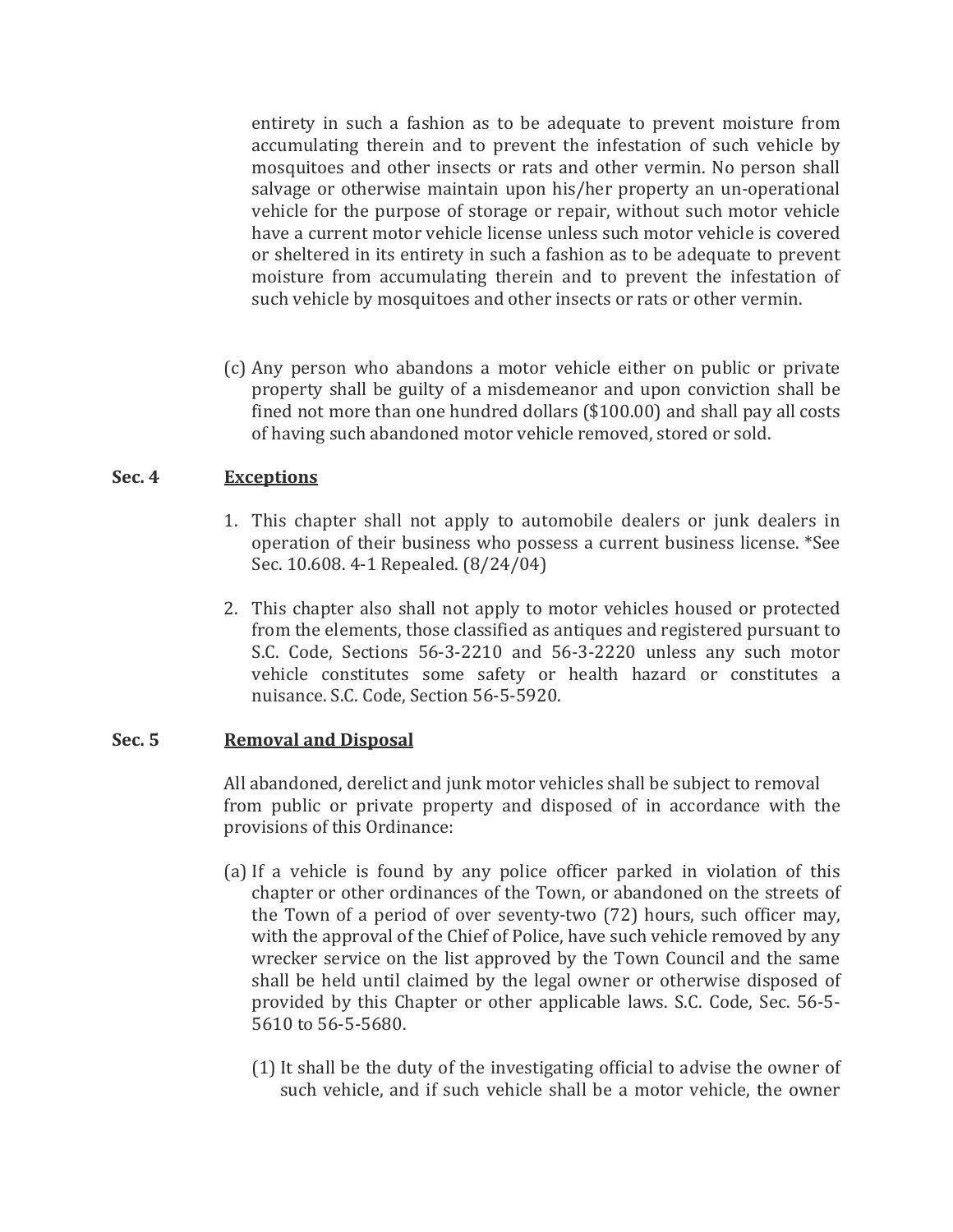entirety in such a fashion as to be adequate to prevent moisture from accumulating therein and to prevent the infestation of such vehicle by mosquitoes and other insects or rats and other vermin. No person shall salvage or otherwise maintain upon his/her property an un-operational vehicle for the purpose of storage or repair, without such motor vehicle have a current motor vehicle license unless such motor vehicle is covered or sheltered in its entirety in such a fashion as to be adequate to prevent moisture from accumulating therein and to prevent the infestation of such vehicle by mosquitoes and other insects or rats or other vermin.

(c) Any person who abandons a motor vehicle either on public or private property shall be guilty of a misdemeanor and upon conviction shall be fined not more than one hundred dollars (\$100.00) and shall pay all costs of having such abandoned motor vehicle removed, stored or sold.

#### **Sec. 4 Exceptions**

- 1. This chapter shall not apply to automobile dealers or junk dealers in operation of their business who possess a current business license. \*See Sec. 10.608. 4-1 Repealed. (8/24/04)
- 2. This chapter also shall not apply to motor vehicles housed or protected from the elements, those classified as antiques and registered pursuant to S.C. Code, Sections 56-3-2210 and 56-3-2220 unless any such motor vehicle constitutes some safety or health hazard or constitutes a nuisance. S.C. Code, Section 56-5-5920.

#### **Sec. 5 Removal and Disposal**

All abandoned, derelict and junk motor vehicles shall be subject to removal from public or private property and disposed of in accordance with the provisions of this Ordinance:

- (a) If a vehicle is found by any police officer parked in violation of this chapter or other ordinances of the Town, or abandoned on the streets of the Town of a period of over seventy-two (72) hours, such officer may, with the approval of the Chief of Police, have such vehicle removed by any wrecker service on the list approved by the Town Council and the same shall be held until claimed by the legal owner or otherwise disposed of provided by this Chapter or other applicable laws. S.C. Code, Sec. 56-5- 5610 to 56-5-5680.
	- (1)It shall be the duty of the investigating official to advise the owner of such vehicle, and if such vehicle shall be a motor vehicle, the owner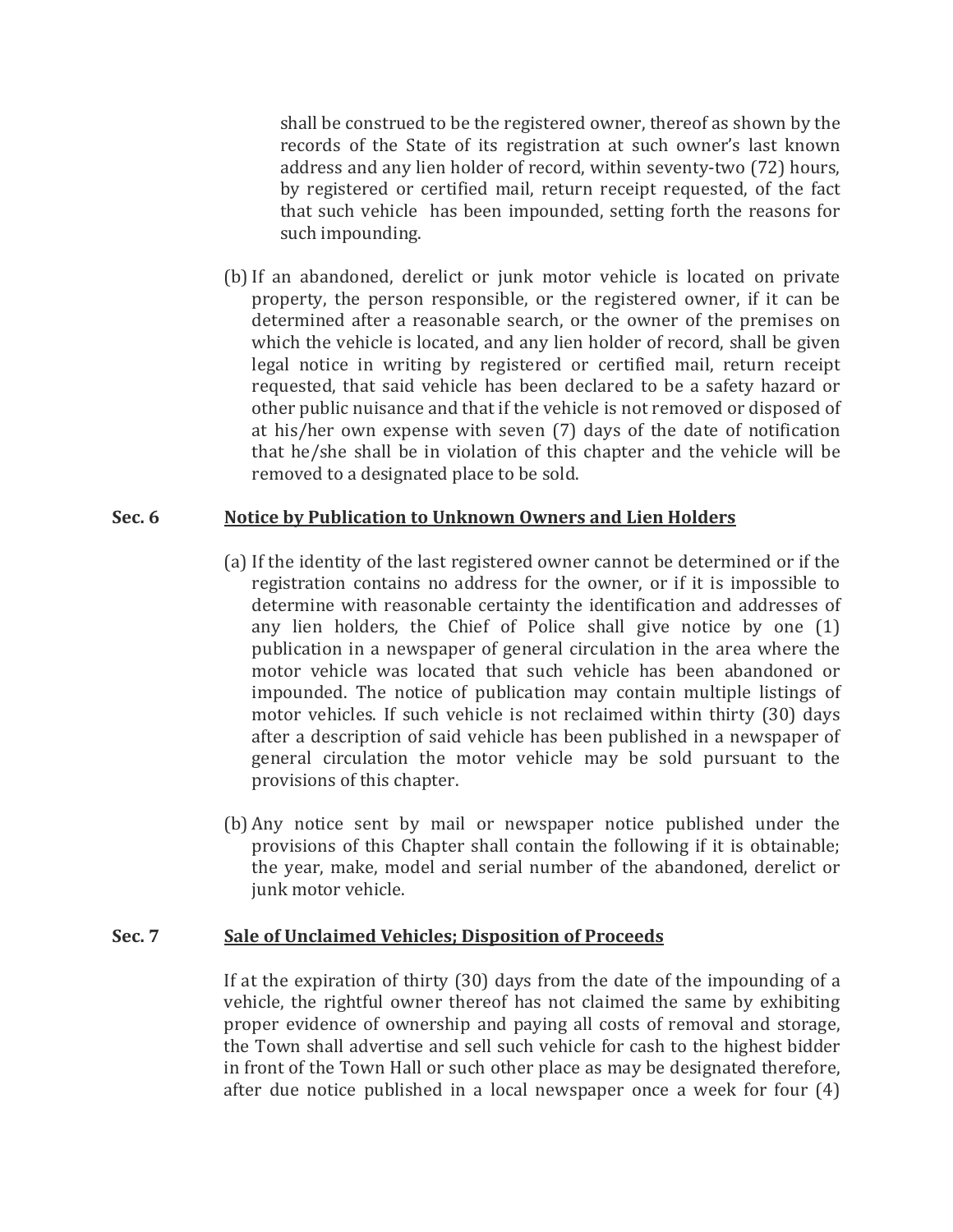shall be construed to be the registered owner, thereof as shown by the records of the State of its registration at such owner's last known address and any lien holder of record, within seventy-two (72) hours, by registered or certified mail, return receipt requested, of the fact that such vehicle has been impounded, setting forth the reasons for such impounding.

(b)If an abandoned, derelict or junk motor vehicle is located on private property, the person responsible, or the registered owner, if it can be determined after a reasonable search, or the owner of the premises on which the vehicle is located, and any lien holder of record, shall be given legal notice in writing by registered or certified mail, return receipt requested, that said vehicle has been declared to be a safety hazard or other public nuisance and that if the vehicle is not removed or disposed of at his/her own expense with seven (7) days of the date of notification that he/she shall be in violation of this chapter and the vehicle will be removed to a designated place to be sold.

#### **Sec. 6 Notice by Publication to Unknown Owners and Lien Holders**

- (a) If the identity of the last registered owner cannot be determined or if the registration contains no address for the owner, or if it is impossible to determine with reasonable certainty the identification and addresses of any lien holders, the Chief of Police shall give notice by one (1) publication in a newspaper of general circulation in the area where the motor vehicle was located that such vehicle has been abandoned or impounded. The notice of publication may contain multiple listings of motor vehicles. If such vehicle is not reclaimed within thirty (30) days after a description of said vehicle has been published in a newspaper of general circulation the motor vehicle may be sold pursuant to the provisions of this chapter.
- (b) Any notice sent by mail or newspaper notice published under the provisions of this Chapter shall contain the following if it is obtainable; the year, make, model and serial number of the abandoned, derelict or junk motor vehicle.

#### **Sec. 7 Sale of Unclaimed Vehicles; Disposition of Proceeds**

If at the expiration of thirty (30) days from the date of the impounding of a vehicle, the rightful owner thereof has not claimed the same by exhibiting proper evidence of ownership and paying all costs of removal and storage, the Town shall advertise and sell such vehicle for cash to the highest bidder in front of the Town Hall or such other place as may be designated therefore, after due notice published in a local newspaper once a week for four (4)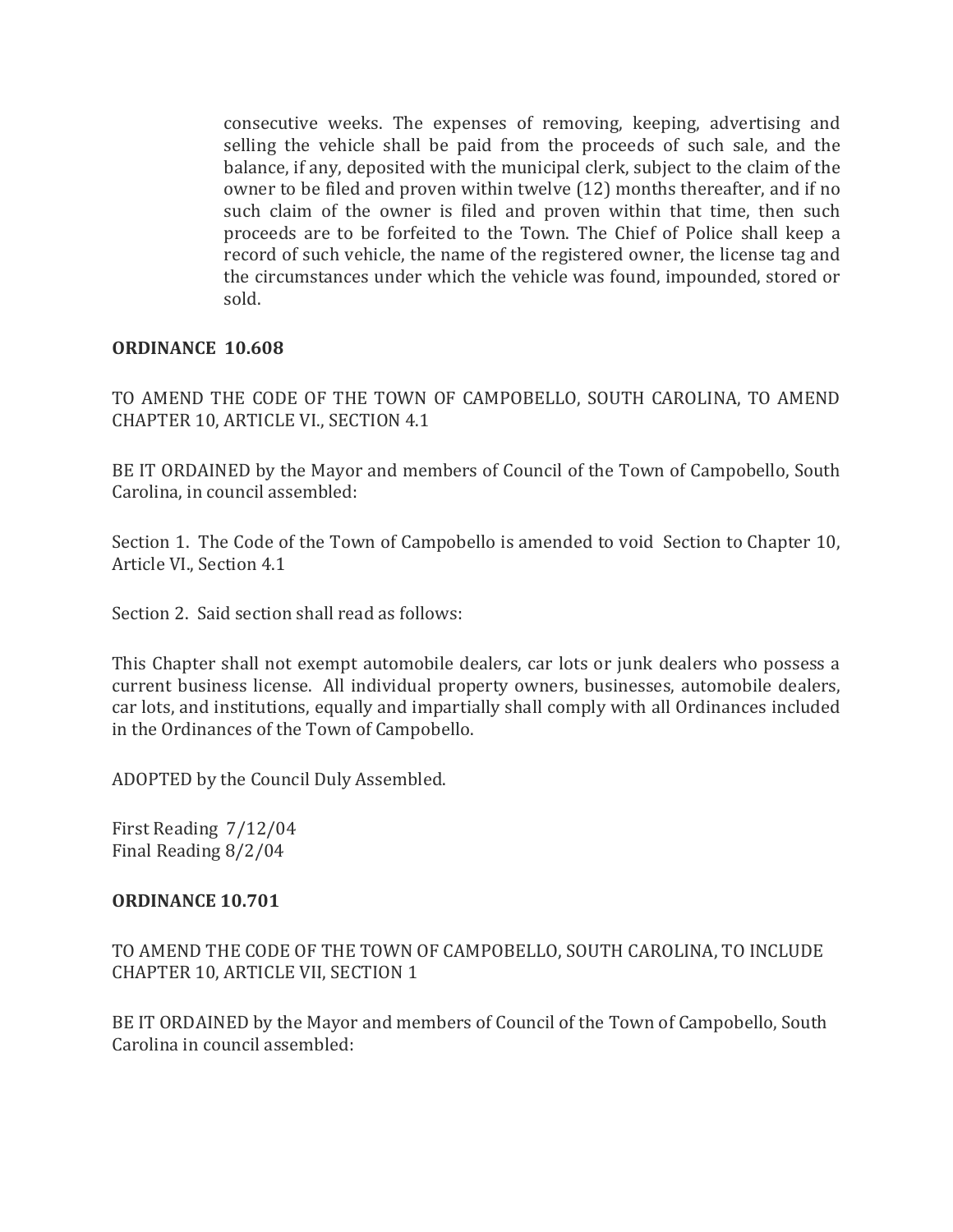consecutive weeks. The expenses of removing, keeping, advertising and selling the vehicle shall be paid from the proceeds of such sale, and the balance, if any, deposited with the municipal clerk, subject to the claim of the owner to be filed and proven within twelve (12) months thereafter, and if no such claim of the owner is filed and proven within that time, then such proceeds are to be forfeited to the Town. The Chief of Police shall keep a record of such vehicle, the name of the registered owner, the license tag and the circumstances under which the vehicle was found, impounded, stored or sold.

#### **ORDINANCE 10.608**

TO AMEND THE CODE OF THE TOWN OF CAMPOBELLO, SOUTH CAROLINA, TO AMEND CHAPTER 10, ARTICLE VI., SECTION 4.1

BE IT ORDAINED by the Mayor and members of Council of the Town of Campobello, South Carolina, in council assembled:

Section 1. The Code of the Town of Campobello is amended to void Section to Chapter 10, Article VI., Section 4.1

Section 2. Said section shall read as follows:

This Chapter shall not exempt automobile dealers, car lots or junk dealers who possess a current business license. All individual property owners, businesses, automobile dealers, car lots, and institutions, equally and impartially shall comply with all Ordinances included in the Ordinances of the Town of Campobello.

ADOPTED by the Council Duly Assembled.

First Reading 7/12/04 Final Reading 8/2/04

#### **ORDINANCE 10.701**

TO AMEND THE CODE OF THE TOWN OF CAMPOBELLO, SOUTH CAROLINA, TO INCLUDE CHAPTER 10, ARTICLE VII, SECTION 1

BE IT ORDAINED by the Mayor and members of Council of the Town of Campobello, South Carolina in council assembled: